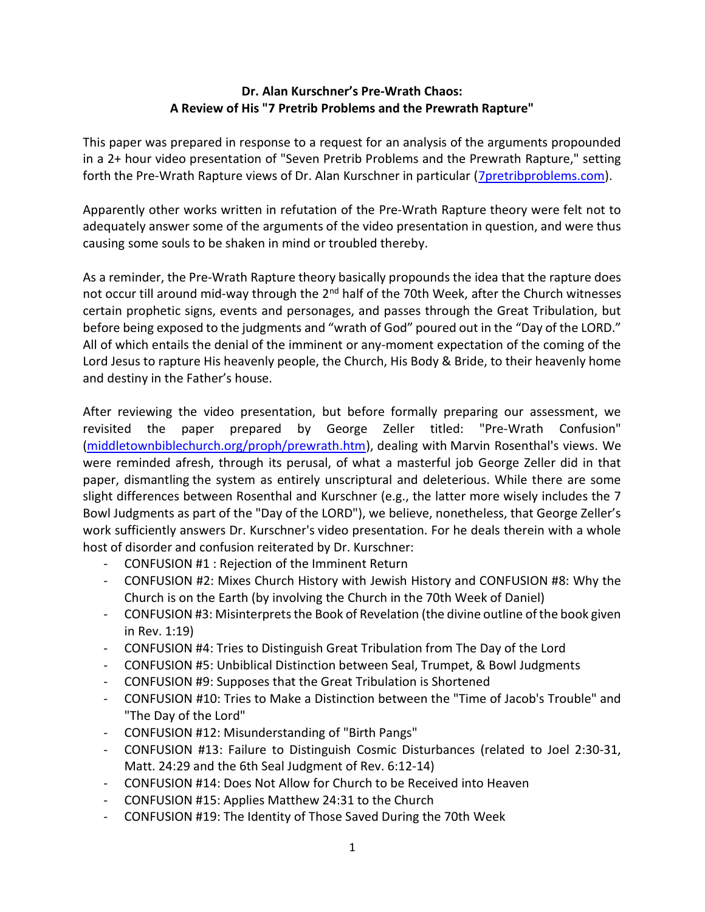## Dr. Alan Kurschner's Pre-Wrath Chaos: A Review of His "7 Pretrib Problems and the Prewrath Rapture"

This paper was prepared in response to a request for an analysis of the arguments propounded in a 2+ hour video presentation of "Seven Pretrib Problems and the Prewrath Rapture," setting forth the Pre-Wrath Rapture views of Dr. Alan Kurschner in particular (7pretribproblems.com).

Apparently other works written in refutation of the Pre-Wrath Rapture theory were felt not to adequately answer some of the arguments of the video presentation in question, and were thus causing some souls to be shaken in mind or troubled thereby.

As a reminder, the Pre-Wrath Rapture theory basically propounds the idea that the rapture does not occur till around mid-way through the 2<sup>nd</sup> half of the 70th Week, after the Church witnesses certain prophetic signs, events and personages, and passes through the Great Tribulation, but before being exposed to the judgments and "wrath of God" poured out in the "Day of the LORD." All of which entails the denial of the imminent or any-moment expectation of the coming of the Lord Jesus to rapture His heavenly people, the Church, His Body & Bride, to their heavenly home and destiny in the Father's house.

After reviewing the video presentation, but before formally preparing our assessment, we revisited the paper prepared by George Zeller titled: "Pre-Wrath Confusion" (middletownbiblechurch.org/proph/prewrath.htm), dealing with Marvin Rosenthal's views. We were reminded afresh, through its perusal, of what a masterful job George Zeller did in that paper, dismantling the system as entirely unscriptural and deleterious. While there are some slight differences between Rosenthal and Kurschner (e.g., the latter more wisely includes the 7 Bowl Judgments as part of the "Day of the LORD"), we believe, nonetheless, that George Zeller's work sufficiently answers Dr. Kurschner's video presentation. For he deals therein with a whole host of disorder and confusion reiterated by Dr. Kurschner:

- CONFUSION #1 : Rejection of the Imminent Return
- CONFUSION #2: Mixes Church History with Jewish History and CONFUSION #8: Why the Church is on the Earth (by involving the Church in the 70th Week of Daniel)
- CONFUSION #3: Misinterprets the Book of Revelation (the divine outline of the book given in Rev. 1:19)
- CONFUSION #4: Tries to Distinguish Great Tribulation from The Day of the Lord
- CONFUSION #5: Unbiblical Distinction between Seal, Trumpet, & Bowl Judgments
- CONFUSION #9: Supposes that the Great Tribulation is Shortened
- CONFUSION #10: Tries to Make a Distinction between the "Time of Jacob's Trouble" and "The Day of the Lord"
- CONFUSION #12: Misunderstanding of "Birth Pangs"
- CONFUSION #13: Failure to Distinguish Cosmic Disturbances (related to Joel 2:30-31, Matt. 24:29 and the 6th Seal Judgment of Rev. 6:12-14)
- CONFUSION #14: Does Not Allow for Church to be Received into Heaven
- CONFUSION #15: Applies Matthew 24:31 to the Church
- CONFUSION #19: The Identity of Those Saved During the 70th Week